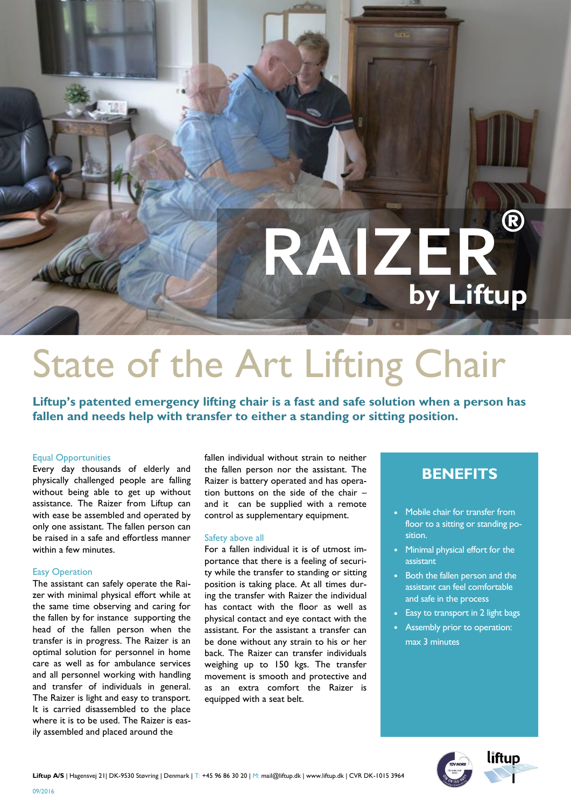# **RAIZER® by Liftup**

## State of the Art Lifting Chair

**Liftup's patented emergency lifting chair is a fast and safe solution when a person has fallen and needs help with transfer to either a standing or sitting position.**

#### Equal Opportunities

Every day thousands of elderly and physically challenged people are falling without being able to get up without assistance. The Raizer from Liftup can with ease be assembled and operated by only one assistant. The fallen person can be raised in a safe and effortless manner within a few minutes.

#### Easy Operation

The assistant can safely operate the Raizer with minimal physical effort while at the same time observing and caring for the fallen by for instance supporting the head of the fallen person when the transfer is in progress. The Raizer is an optimal solution for personnel in home care as well as for ambulance services and all personnel working with handling and transfer of individuals in general. The Raizer is light and easy to transport. It is carried disassembled to the place where it is to be used. The Raizer is easily assembled and placed around the

fallen individual without strain to neither the fallen person nor the assistant. The Raizer is battery operated and has operation buttons on the side of the chair – and it can be supplied with a remote control as supplementary equipment.

#### Safety above all

For a fallen individual it is of utmost importance that there is a feeling of security while the transfer to standing or sitting position is taking place. At all times during the transfer with Raizer the individual has contact with the floor as well as physical contact and eye contact with the assistant. For the assistant a transfer can be done without any strain to his or her back. The Raizer can transfer individuals weighing up to 150 kgs. The transfer movement is smooth and protective and as an extra comfort the Raizer is equipped with a seat belt.

### **BENEFITS**

- Mobile chair for transfer from floor to a sitting or standing position.
- Minimal physical effort for the assistant
- Both the fallen person and the assistant can feel comfortable and safe in the process
- Easy to transport in 2 light bags
- Assembly prior to operation: max 3 minutes